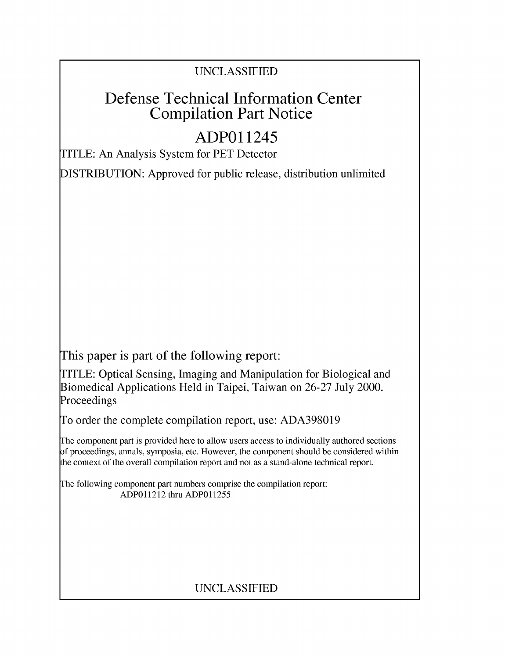## UNCLASSIFIED

# Defense Technical Information Center Compilation Part Notice

# **ADPO** 11245

TITLE: An Analysis System for PET Detector

DISTRIBUTION: Approved for public release, distribution unlimited

This paper is part of the following report:

TITLE: Optical Sensing, Imaging and Manipulation for Biological and Biomedical Applications Held in Taipei, Taiwan on 26-27 July 2000. Proceedings

To order the complete compilation report, use: ADA398019

The component part is provided here to allow users access to individually authored sections f proceedings, annals, symposia, etc. However, the component should be considered within [he context of the overall compilation report and not as a stand-alone technical report.

The following component part numbers comprise the compilation report: ADPO11212 thru ADP011255

## UNCLASSIFIED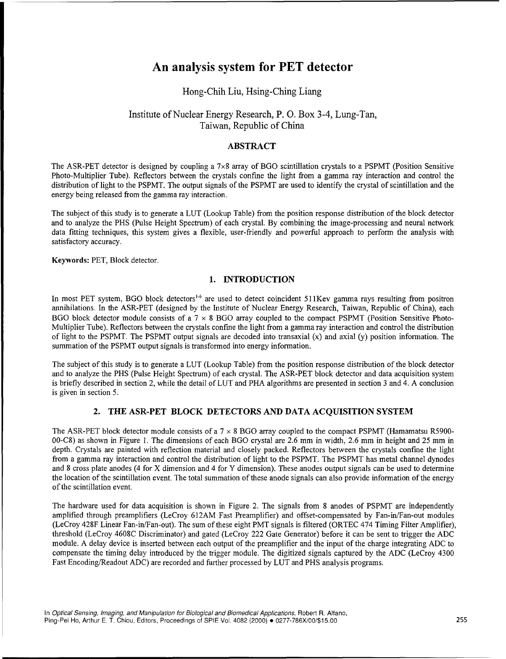## An analysis system for PET detector

### Hong-Chih Liu, Hsing-Ching Liang

### Institute of Nuclear Energy Research, P. **0.** Box 3-4, Lung-Tan, Taiwan, Republic of China

#### ABSTRACT

The ASR-PET detector is designed by coupling a  $7\times 8$  array of BGO scintillation crystals to a PSPMT (Position Sensitive Photo-Multiplier Tube). Reflectors between the crystals confine the light from a gamma ray interaction and control the distribution of light to the PSPMT. The output signals of the PSPMT are used to identify the crystal of scintillation and the energy being released from the gamma ray interaction.

The subject of this study is to generate a LUT (Lookup Table) from the position response distribution of the block detector and to analyze the PHS (Pulse Height Spectrum) of each crystal. By combining the image-processing and neural network data fitting techniques, this system gives a flexible, user-friendly and powerful approach to perform the analysis with satisfactory accuracy.

Keywords: PET, Block detector.

#### 1. **INTRODUCTION**

In most PET system, BGO block detectors<sup>1.6</sup> are used to detect coincident 511Kev gamma rays resulting from positron annihilations. In the ASR-PET (designed by the Institute of Nuclear Energy Research, Taiwan, Republic of China), each BGO block detector module consists of a 7 **x** 8 BGO array coupled to the compact PSPMT (Position Sensitive Photo-Multiplier Tube). Reflectors between the crystals confine the light from a gamma ray interaction and control the distribution of light to the PSPMT. The PSPMT output signals are decoded into transaxial  $(x)$  and axial  $(y)$  position information. The summation of the PSPMT output signals is transformed into energy information.

The subject of this study is to generate a LUT (Lookup Table) from the position response distribution of the block detector and to analyze the PHS (Pulse Height Spectrum) of each crystal. The ASR-PET block detector and data acquisition system is briefly described in section 2, while the detail of LUT and PHA algorithms are presented in section 3 and 4. A conclusion is given in section 5.

#### 2. THE ASR-PET BLOCK DETECTORS **AND DATA ACQUISITION** SYSTEM

The ASR-PET block detector module consists of a  $7 \times 8$  BGO array coupled to the compact PSPMT (Hamamatsu R5900-00-C8) as shown in Figure 1. The dimensions of each BGO crystal are 2.6 mm in width, 2.6 mm in height and 25 mm in depth. Crystals are painted with reflection material and closely packed. Reflectors between the crystals confine the light from a gamma ray interaction and control the distribution of light to the PSPMT. The PSPMT has metal channel dynodes and 8 cross plate anodes (4 for X dimension and 4 for Y dimension). These anodes output signals can be used to determine the location of the scintillation event. The total summation of these anode signals can also provide information of the energy of the scintillation event.

The hardware used for data acquisition is shown in Figure 2. The signals from 8 anodes of PSPMT are independently amplified through preamplifiers (LeCroy 612AM Fast Preamplifier) and offset-compensated by Fan-in/Fan-out modules (LeCroy 428F Linear Fan-in/Fan-out). The sum of these eight PMT signals is filtered (ORTEC 474 Timing Filter Amplifier), threshold (LeCroy 4608C Discriminator) and gated (LeCroy 222 Gate Generator) before it can be sent to trigger the ADC module. A delay device is inserted between each output of the preamplifier and the input of the charge integrating ADC to compensate the timing delay introduced by the trigger module. The digitized signals captured by the ADC (LeCroy 4300 Fast Encoding/Readout ADC) are recorded and further processed by LUT and PHS analysis programs.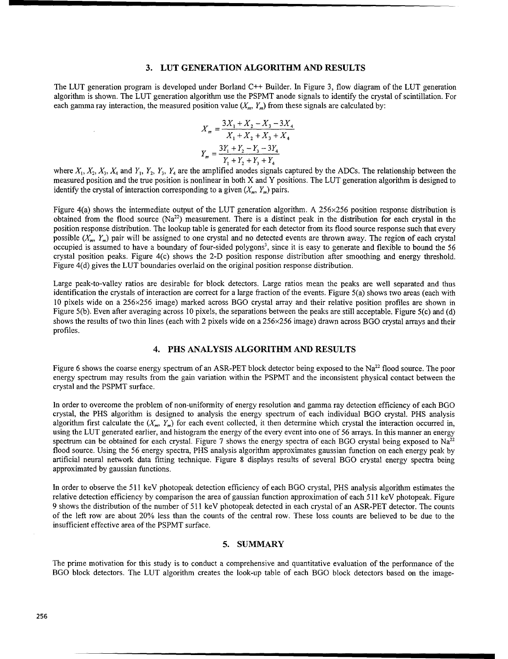#### **3. LUT GENERATION** ALGORITHM **AND RESULTS**

The LUT generation program is developed under Borland C++ Builder. In Figure 3, flow diagram of the LUT generation algorithm is shown. The LUT generation algorithm use the PSPMT anode signals to identify the crystal of scintillation. For each gamma ray interaction, the measured position value  $(X_m, Y_m)$  from these signals are calculated by:

$$
X_m = \frac{3X_1 + X_2 - X_3 - 3X_4}{X_1 + X_2 + X_3 + X_4}
$$

$$
Y_m = \frac{3Y_1 + Y_2 - Y_3 - 3Y_4}{Y_1 + Y_2 + Y_3 + Y_4}
$$

where  $X_1, X_2, X_3, X_4$  and  $Y_1, Y_2, Y_3, Y_4$  are the amplified anodes signals captured by the ADCs. The relationship between the measured position and the true position is nonlinear in both X and Y positions. The LUT generation algorithm is designed to identify the crystal of interaction corresponding to a given  $(X_m, Y_m)$  pairs.

Figure 4(a) shows the intermediate output of the LUT generation algorithm. A  $256 \times 256$  position response distribution is obtained from the flood source  $(Na^{22})$  measurement. There is a distinct peak in the distribution for each crystal in the position response distribution. The lookup table is generated for each detector from its flood source response such that every possible *(X,, Y.,)* pair will be assigned to one crystal and no detected events are thrown away. The region of each crystal occupied is assumed to have a boundary of four-sided polygons<sup>3</sup>, since it is easy to generate and flexible to bound the 56 crystal position peaks. Figure 4(c) shows the 2-D position response distribution after smoothing and energy threshold. Figure 4(d) gives the LUT boundaries overlaid on the original position response distribution.

Large peak-to-valley ratios are desirable for block detectors. Large ratios mean the peaks are well separated and thus identification the crystals of interaction are correct for a large fraction of the events. Figure 5(a) shows two areas (each with 10 pixels wide on a 256x256 image) marked across BGO crystal array and their relative position profiles are shown in Figure 5(b). Even after averaging across 10 pixels, the separations between the peaks are still acceptable. Figure 5(c) and (d) shows the results of two thin lines (each with 2 pixels wide on a 256×256 image) drawn across BGO crystal arrays and their profiles.

#### 4. **PHS ANALYSIS** ALGORITHM **AND RESULTS**

Figure 6 shows the coarse energy spectrum of an ASR-PET block detector being exposed to the  $Na^{22}$  flood source. The poor energy spectrum may results from the gain variation within the PSPMT and the inconsistent physical contact between the crystal and the PSPMT surface.

In order to overcome the problem of non-uniformity of energy resolution and gamma ray detection efficiency of each BGO crystal, the PHS algorithm is designed to analysis the energy spectrum of each individual BGO crystal. PHS analysis algorithm first calculate the  $(X_m, Y_m)$  for each event collected, it then determine which crystal the interaction occurred in, using the LUT generated earlier, and histogram the energy of the every event into one of 56 arrays. In this manner an energy spectrum can be obtained for each crystal. Figure 7 shows the energy spectra of each BGO crystal being exposed to  $Na^{22}$ flood source. Using the 56 energy spectra, PHS analysis algorithm approximates gaussian function on each energy peak by artificial neural network data fitting technique. Figure 8 displays results of several BGO crystal energy spectra being approximated by gaussian functions.

In order to observe the 511 keV photopeak detection efficiency of each BGO crystal, PHS analysis algorithm estimates the relative detection efficiency by comparison the area of gaussian function approximation of each 511 keV photopeak. Figure 9 shows the distribution of the number of 511 keV photopeak detected in each crystal of an ASR-PET detector. The counts of the left row are about 20% less than the counts of the central row. These loss counts are believed to be due to the insufficient effective area of the PSPMT surface.

#### 5. SUMMARY

The prime motivation for this study is to conduct a comprehensive and quantitative evaluation of the performance of the BGO block detectors. The LUT algorithm creates the look-up table of each BGO block detectors based on the image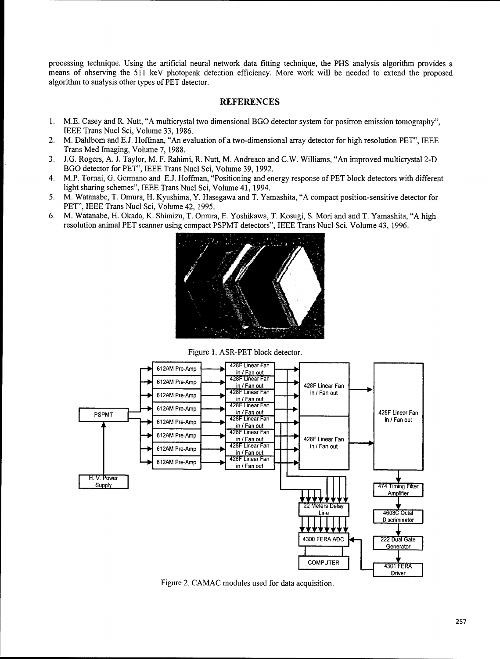processing technique. Using the artificial neural network data fitting technique, the PHS analysis algorithm provides a means of observing the 511 keV photopeak detection efficiency. More work will be needed to extend the proposed algorithm to analysis other types of PET detector.

#### **REFERENCES**

- 1. M.E. Casey and R. Nutt, "A multicrystal two dimensional BGO detector system for positron emission tomography", IEEE Trans Nucl Sci, Volume 33, 1986.
- M. Dahlbom and E.J. Hoffman, "An evaluation of a two-dimensional array detector for high resolution PET". IEEE  $2.$ Trans Med Imaging, Volume 7, 1988.
- 3. J.G. Rogers, A. J. Taylor, M. F. Rahimi, R. Nutt, M. Andreaco and C.W. Williams, "An improved multicrystal 2-D BGO detector for PET", IEEE Trans Nucl Sci, Volume 39, 1992.
- 4. M.P. Tornai, G. Germano and E.J. Hoffman, "Positioning and energy response of PET block detectors with different light sharing schemes", IEEE Trans Nucl Sci, Volume 41, 1994.
- 5. M. Watanabe, T. Omura, H. Kyushima, Y. Hasegawa and T. Yamashita, "A compact position-sensitive detector for PET", IEEE Trans Nucl Sci, Volume 42, 1995.
- 6. M. Watanabe, H. Okada, K. Shimizu, T. Omura, E. Yoshikawa, T. Kosugi, S. Mori and and T. Yamashita, "A high resolution animal PET scanner using compact PSPMT detectors", IEEE Trans Nucl Sci, Volume 43, 1996.



Figure 1. ASR-PET block detector.



Figure 2. CAMAC modules used for data acquisition.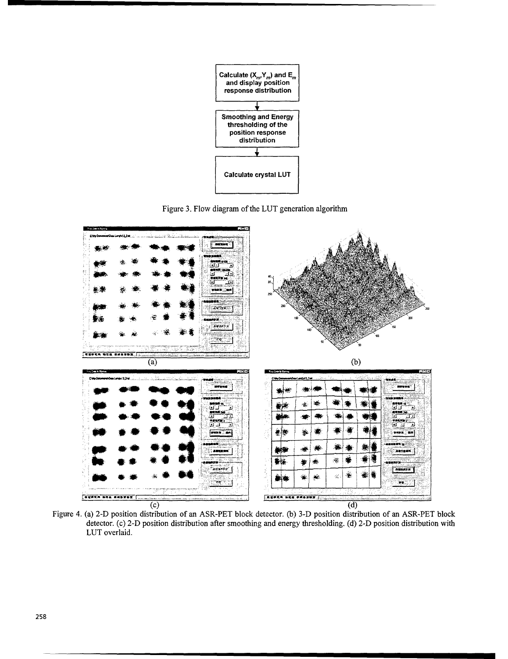

Figure 3. Flow diagram of the LUT generation algorithm



Figure 4. (a) 2-D position distribution of an ASR-PET block detector. (b) 3-D position distribution of an ASR-PET block detector. (c) 2-D position distribution after smoothing and energy thresholding. (d) 2-D position distribution with LUT overlaid.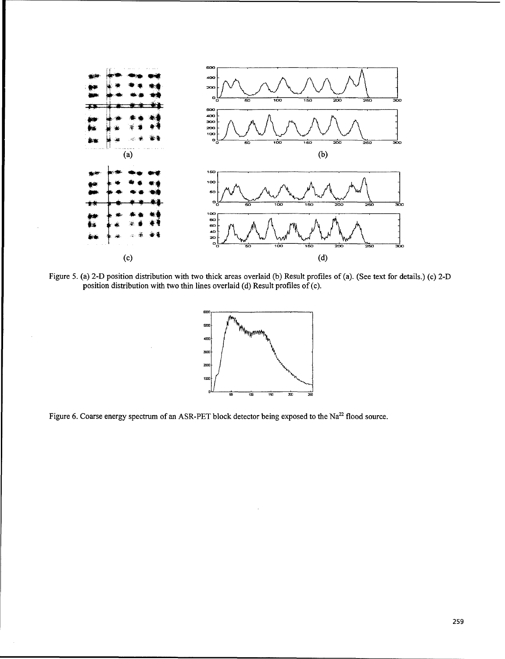

Figure 5. (a) 2-D position distribution with two thick areas overlaid (b) Result profiles of (a). (See text for details.) (c) 2-D position distribution with two thin lines overlaid (d) Result profiles of (c).



Figure 6. Coarse energy spectrum of an ASR-PET block detector being exposed to the Na<sup>22</sup> flood source.